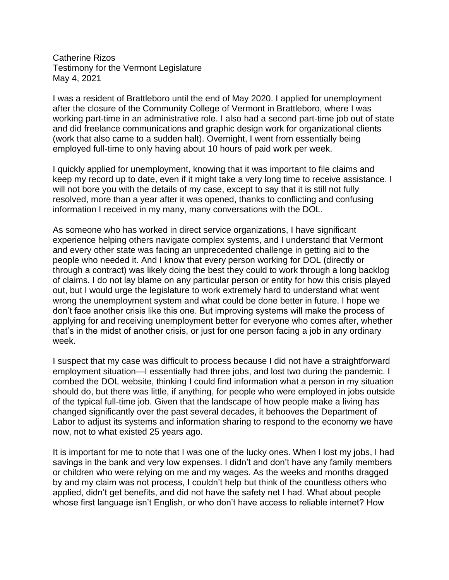Catherine Rizos Testimony for the Vermont Legislature May 4, 2021

I was a resident of Brattleboro until the end of May 2020. I applied for unemployment after the closure of the Community College of Vermont in Brattleboro, where I was working part-time in an administrative role. I also had a second part-time job out of state and did freelance communications and graphic design work for organizational clients (work that also came to a sudden halt). Overnight, I went from essentially being employed full-time to only having about 10 hours of paid work per week.

I quickly applied for unemployment, knowing that it was important to file claims and keep my record up to date, even if it might take a very long time to receive assistance. I will not bore you with the details of my case, except to say that it is still not fully resolved, more than a year after it was opened, thanks to conflicting and confusing information I received in my many, many conversations with the DOL.

As someone who has worked in direct service organizations, I have significant experience helping others navigate complex systems, and I understand that Vermont and every other state was facing an unprecedented challenge in getting aid to the people who needed it. And I know that every person working for DOL (directly or through a contract) was likely doing the best they could to work through a long backlog of claims. I do not lay blame on any particular person or entity for how this crisis played out, but I would urge the legislature to work extremely hard to understand what went wrong the unemployment system and what could be done better in future. I hope we don't face another crisis like this one. But improving systems will make the process of applying for and receiving unemployment better for everyone who comes after, whether that's in the midst of another crisis, or just for one person facing a job in any ordinary week.

I suspect that my case was difficult to process because I did not have a straightforward employment situation—I essentially had three jobs, and lost two during the pandemic. I combed the DOL website, thinking I could find information what a person in my situation should do, but there was little, if anything, for people who were employed in jobs outside of the typical full-time job. Given that the landscape of how people make a living has changed significantly over the past several decades, it behooves the Department of Labor to adjust its systems and information sharing to respond to the economy we have now, not to what existed 25 years ago.

It is important for me to note that I was one of the lucky ones. When I lost my jobs, I had savings in the bank and very low expenses. I didn't and don't have any family members or children who were relying on me and my wages. As the weeks and months dragged by and my claim was not process, I couldn't help but think of the countless others who applied, didn't get benefits, and did not have the safety net I had. What about people whose first language isn't English, or who don't have access to reliable internet? How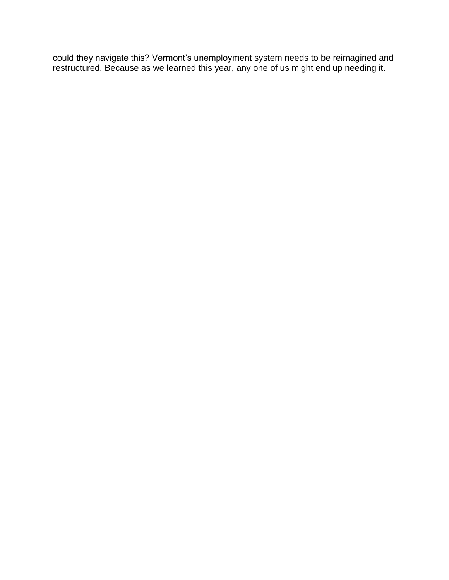could they navigate this? Vermont's unemployment system needs to be reimagined and restructured. Because as we learned this year, any one of us might end up needing it.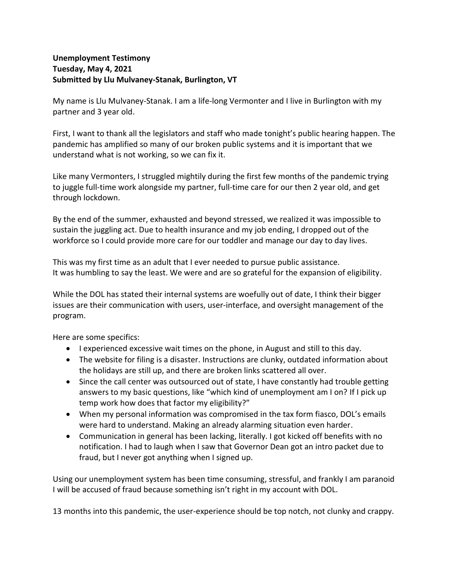## **Unemployment Testimony Tuesday, May 4, 2021 Submitted by Llu Mulvaney-Stanak, Burlington, VT**

My name is Llu Mulvaney-Stanak. I am a life-long Vermonter and I live in Burlington with my partner and 3 year old.

First, I want to thank all the legislators and staff who made tonight's public hearing happen. The pandemic has amplified so many of our broken public systems and it is important that we understand what is not working, so we can fix it.

Like many Vermonters, I struggled mightily during the first few months of the pandemic trying to juggle full-time work alongside my partner, full-time care for our then 2 year old, and get through lockdown.

By the end of the summer, exhausted and beyond stressed, we realized it was impossible to sustain the juggling act. Due to health insurance and my job ending, I dropped out of the workforce so I could provide more care for our toddler and manage our day to day lives.

This was my first time as an adult that I ever needed to pursue public assistance. It was humbling to say the least. We were and are so grateful for the expansion of eligibility.

While the DOL has stated their internal systems are woefully out of date, I think their bigger issues are their communication with users, user-interface, and oversight management of the program.

Here are some specifics:

- I experienced excessive wait times on the phone, in August and still to this day.
- The website for filing is a disaster. Instructions are clunky, outdated information about the holidays are still up, and there are broken links scattered all over.
- Since the call center was outsourced out of state, I have constantly had trouble getting answers to my basic questions, like "which kind of unemployment am I on? If I pick up temp work how does that factor my eligibility?"
- When my personal information was compromised in the tax form fiasco, DOL's emails were hard to understand. Making an already alarming situation even harder.
- Communication in general has been lacking, literally. I got kicked off benefits with no notification. I had to laugh when I saw that Governor Dean got an intro packet due to fraud, but I never got anything when I signed up.

Using our unemployment system has been time consuming, stressful, and frankly I am paranoid I will be accused of fraud because something isn't right in my account with DOL.

13 months into this pandemic, the user-experience should be top notch, not clunky and crappy.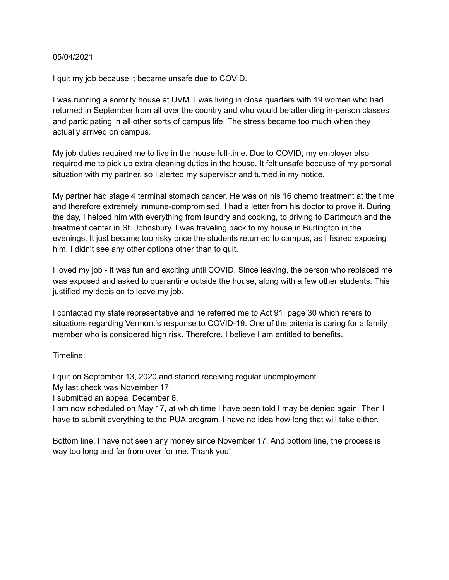## 05/04/2021

I quit my job because it became unsafe due to COVID.

I was running a sorority house at UVM. I was living in close quarters with 19 women who had returned in September from all over the country and who would be attending in-person classes and participating in all other sorts of campus life. The stress became too much when they actually arrived on campus.

My job duties required me to live in the house full-time. Due to COVID, my employer also required me to pick up extra cleaning duties in the house. It felt unsafe because of my personal situation with my partner, so I alerted my supervisor and turned in my notice.

My partner had stage 4 terminal stomach cancer. He was on his 16 chemo treatment at the time and therefore extremely immune-compromised. I had a letter from his doctor to prove it. During the day, I helped him with everything from laundry and cooking, to driving to Dartmouth and the treatment center in St. Johnsbury. I was traveling back to my house in Burlington in the evenings. It just became too risky once the students returned to campus, as I feared exposing him. I didn't see any other options other than to quit.

I loved my job - it was fun and exciting until COVID. Since leaving, the person who replaced me was exposed and asked to quarantine outside the house, along with a few other students. This justified my decision to leave my job.

I contacted my state representative and he referred me to Act 91, page 30 which refers to situations regarding Vermont's response to COVID-19. One of the criteria is caring for a family member who is considered high risk. Therefore, I believe I am entitled to benefits.

Timeline:

I quit on September 13, 2020 and started receiving regular unemployment.

My last check was November 17.

I submitted an appeal December 8.

I am now scheduled on May 17, at which time I have been told I may be denied again. Then I have to submit everything to the PUA program. I have no idea how long that will take either.

Bottom line, I have not seen any money since November 17. And bottom line, the process is way too long and far from over for me. Thank you!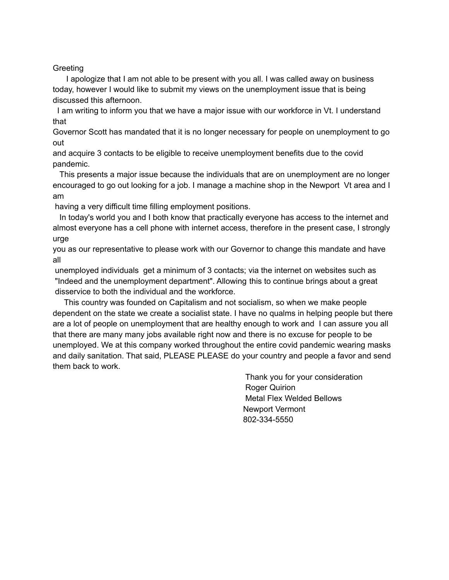## Greeting

I apologize that I am not able to be present with you all. I was called away on business today, however I would like to submit my views on the unemployment issue that is being discussed this afternoon.

I am writing to inform you that we have a major issue with our workforce in Vt. I understand that

Governor Scott has mandated that it is no longer necessary for people on unemployment to go out

and acquire 3 contacts to be eligible to receive unemployment benefits due to the covid pandemic.

This presents a major issue because the individuals that are on unemployment are no longer encouraged to go out looking for a job. I manage a machine shop in the Newport Vt area and I am

having a very difficult time filling employment positions.

In today's world you and I both know that practically everyone has access to the internet and almost everyone has a cell phone with internet access, therefore in the present case, I strongly urge

you as our representative to please work with our Governor to change this mandate and have all

unemployed individuals get a minimum of 3 contacts; via the internet on websites such as "Indeed and the unemployment department". Allowing this to continue brings about a great disservice to both the individual and the workforce.

This country was founded on Capitalism and not socialism, so when we make people dependent on the state we create a socialist state. I have no qualms in helping people but there are a lot of people on unemployment that are healthy enough to work and I can assure you all that there are many many jobs available right now and there is no excuse for people to be unemployed. We at this company worked throughout the entire covid pandemic wearing masks and daily sanitation. That said, PLEASE PLEASE do your country and people a favor and send them back to work.

> Thank you for your consideration **Roger Quirion** Metal Flex Welded Bellows Newport Vermont 802-334-5550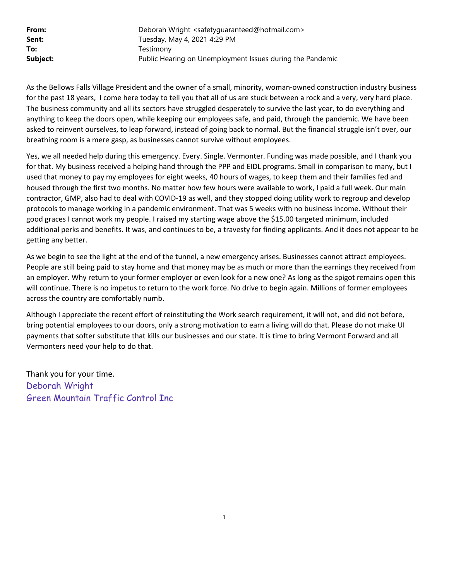**From:** Deborah Wright <safetyguaranteed@hotmail.com> **Sent:** Tuesday, May 4, 2021 4:29 PM To: Testimony **Subject:** Public Hearing on Unemployment Issues during the Pandemic

As the Bellows Falls Village President and the owner of a small, minority, woman-owned construction industry business for the past 18 years, I come here today to tell you that all of us are stuck between a rock and a very, very hard place. The business community and all its sectors have struggled desperately to survive the last year, to do everything and anything to keep the doors open, while keeping our employees safe, and paid, through the pandemic. We have been asked to reinvent ourselves, to leap forward, instead of going back to normal. But the financial struggle isn't over, our breathing room is a mere gasp, as businesses cannot survive without employees.

Yes, we all needed help during this emergency. Every. Single. Vermonter. Funding was made possible, and I thank you for that. My business received a helping hand through the PPP and EIDL programs. Small in comparison to many, but I used that money to pay my employees for eight weeks, 40 hours of wages, to keep them and their families fed and housed through the first two months. No matter how few hours were available to work, I paid a full week. Our main contractor, GMP, also had to deal with COVID-19 as well, and they stopped doing utility work to regroup and develop protocols to manage working in a pandemic environment. That was 5 weeks with no business income. Without their good graces I cannot work my people. I raised my starting wage above the \$15.00 targeted minimum, included additional perks and benefits. It was, and continues to be, a travesty for finding applicants. And it does not appear to be getting any better.

As we begin to see the light at the end of the tunnel, a new emergency arises. Businesses cannot attract employees. People are still being paid to stay home and that money may be as much or more than the earnings they received from an employer. Why return to your former employer or even look for a new one? As long as the spigot remains open this will continue. There is no impetus to return to the work force. No drive to begin again. Millions of former employees across the country are comfortably numb.

Although I appreciate the recent effort of reinstituting the Work search requirement, it will not, and did not before, bring potential employees to our doors, only a strong motivation to earn a living will do that. Please do not make UI payments that softer substitute that kills our businesses and our state. It is time to bring Vermont Forward and all Vermonters need your help to do that.

Thank you for your time. Deborah Wright Green Mountain Traffic Control Inc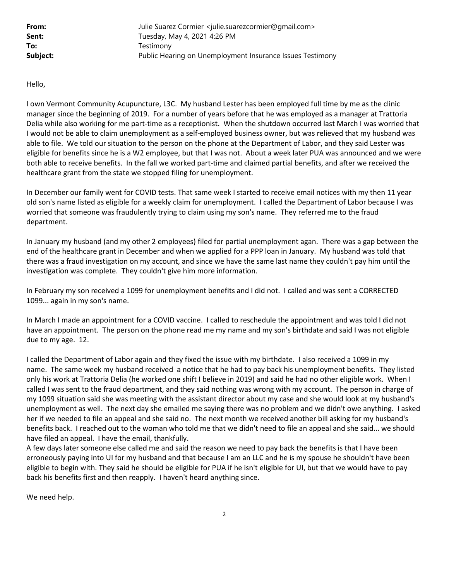From: Julie Suarez Cormier <julie.suarezcormier@gmail.com> **Sent:** Tuesday, May 4, 2021 4:26 PM To: Testimony **Subject:** Public Hearing on Unemployment Insurance Issues Testimony

Hello,

I own Vermont Community Acupuncture, L3C. My husband Lester has been employed full time by me as the clinic manager since the beginning of 2019. For a number of years before that he was employed as a manager at Trattoria Delia while also working for me part-time as a receptionist. When the shutdown occurred last March I was worried that I would not be able to claim unemployment as a self-employed business owner, but was relieved that my husband was able to file. We told our situation to the person on the phone at the Department of Labor, and they said Lester was eligible for benefits since he is a W2 employee, but that I was not. About a week later PUA was announced and we were both able to receive benefits. In the fall we worked part-time and claimed partial benefits, and after we received the healthcare grant from the state we stopped filing for unemployment.

In December our family went for COVID tests. That same week I started to receive email notices with my then 11 year old son's name listed as eligible for a weekly claim for unemployment. I called the Department of Labor because I was worried that someone was fraudulently trying to claim using my son's name. They referred me to the fraud department.

In January my husband (and my other 2 employees) filed for partial unemployment agan. There was a gap between the end of the healthcare grant in December and when we applied for a PPP loan in January. My husband was told that there was a fraud investigation on my account, and since we have the same last name they couldn't pay him until the investigation was complete. They couldn't give him more information.

In February my son received a 1099 for unemployment benefits and I did not. I called and was sent a CORRECTED 1099... again in my son's name.

In March I made an appointment for a COVID vaccine. I called to reschedule the appointment and was told I did not have an appointment. The person on the phone read me my name and my son's birthdate and said I was not eligible due to my age. 12.

I called the Department of Labor again and they fixed the issue with my birthdate. I also received a 1099 in my name. The same week my husband received a notice that he had to pay back his unemployment benefits. They listed only his work at Trattoria Delia (he worked one shift I believe in 2019) and said he had no other eligible work. When I called I was sent to the fraud department, and they said nothing was wrong with my account. The person in charge of my 1099 situation said she was meeting with the assistant director about my case and she would look at my husband's unemployment as well. The next day she emailed me saying there was no problem and we didn't owe anything. I asked her if we needed to file an appeal and she said no. The next month we received another bill asking for my husband's benefits back. I reached out to the woman who told me that we didn't need to file an appeal and she said... we should have filed an appeal. I have the email, thankfully.

A few days later someone else called me and said the reason we need to pay back the benefits is that I have been erroneously paying into UI for my husband and that because I am an LLC and he is my spouse he shouldn't have been eligible to begin with. They said he should be eligible for PUA if he isn't eligible for UI, but that we would have to pay back his benefits first and then reapply. I haven't heard anything since.

We need help.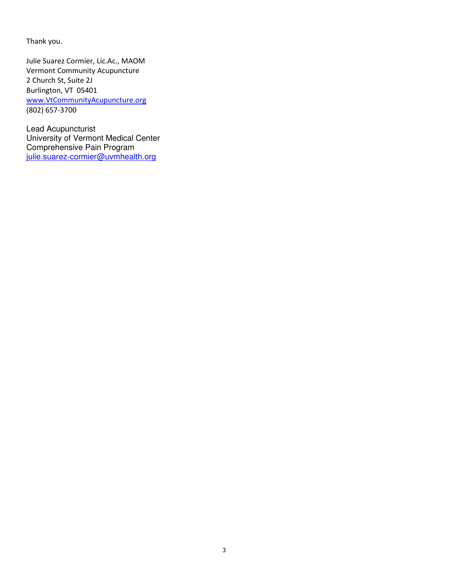Thank you.

Julie Suarez Cormier, Lic.Ac., MAOM Vermont Community Acupuncture 2 Church St, Suite 2J Burlington, VT 05401 www.VtCommunityAcupuncture.org (802) 657-3700

Lead Acupuncturist University of Vermont Medical Center Comprehensive Pain Program julie.suarez-cormier@uvmhealth.org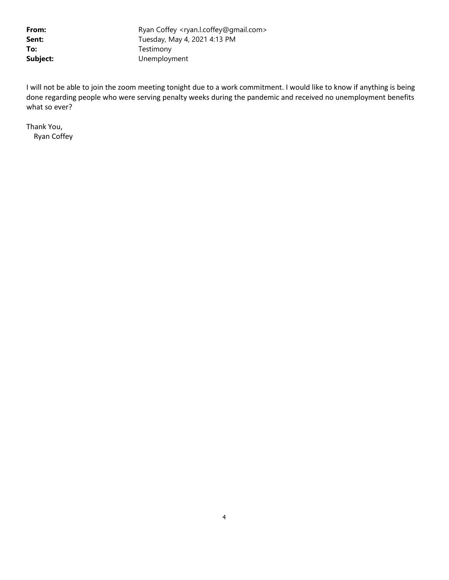From: Ryan Coffey <ryan.l.coffey@gmail.com> **Sent:** Tuesday, May 4, 2021 4:13 PM To: Testimony Subject: Unemployment

I will not be able to join the zoom meeting tonight due to a work commitment. I would like to know if anything is being done regarding people who were serving penalty weeks during the pandemic and received no unemployment benefits what so ever?

Thank You, Ryan Coffey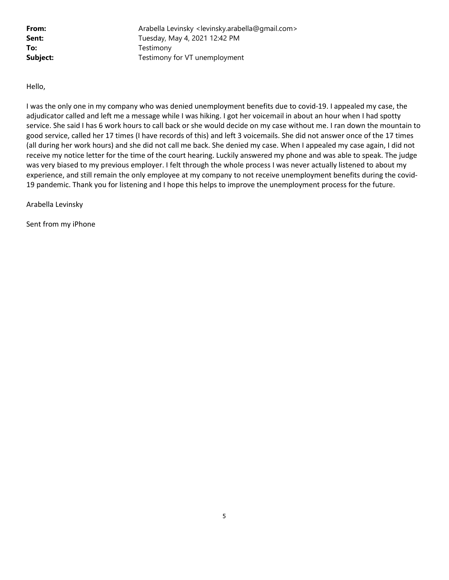From: Arabella Levinsky <levinsky.arabella@gmail.com> **Sent:** Tuesday, May 4, 2021 12:42 PM To: Testimony **Subject:** Testimony for VT unemployment

Hello,

I was the only one in my company who was denied unemployment benefits due to covid-19. I appealed my case, the adjudicator called and left me a message while I was hiking. I got her voicemail in about an hour when I had spotty service. She said I has 6 work hours to call back or she would decide on my case without me. I ran down the mountain to good service, called her 17 times (I have records of this) and left 3 voicemails. She did not answer once of the 17 times (all during her work hours) and she did not call me back. She denied my case. When I appealed my case again, I did not receive my notice letter for the time of the court hearing. Luckily answered my phone and was able to speak. The judge was very biased to my previous employer. I felt through the whole process I was never actually listened to about my experience, and still remain the only employee at my company to not receive unemployment benefits during the covid-19 pandemic. Thank you for listening and I hope this helps to improve the unemployment process for the future.

Arabella Levinsky

Sent from my iPhone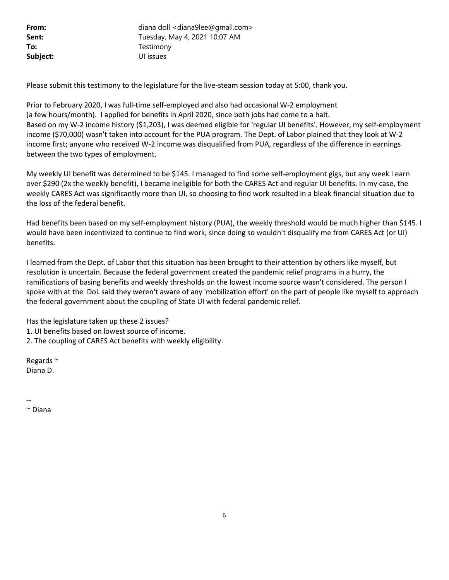From: diana doll <diana9lee@gmail.com> **Sent:** Tuesday, May 4, 2021 10:07 AM To: Testimony Subject: UI issues

Please submit this testimony to the legislature for the live-steam session today at 5:00, thank you.

Prior to February 2020, I was full-time self-employed and also had occasional W-2 employment (a few hours/month). I applied for benefits in April 2020, since both jobs had come to a halt. Based on my W-2 income history (\$1,203), I was deemed eligible for 'regular UI benefits'. However, my self-employment income (\$70,000) wasn't taken into account for the PUA program. The Dept. of Labor plained that they look at W-2 income first; anyone who received W-2 income was disqualified from PUA, regardless of the difference in earnings between the two types of employment.

My weekly UI benefit was determined to be \$145. I managed to find some self-employment gigs, but any week I earn over \$290 (2x the weekly benefit), I became ineligible for both the CARES Act and regular UI benefits. In my case, the weekly CARES Act was significantly more than UI, so choosing to find work resulted in a bleak financial situation due to the loss of the federal benefit.

Had benefits been based on my self-employment history (PUA), the weekly threshold would be much higher than \$145. I would have been incentivized to continue to find work, since doing so wouldn't disqualify me from CARES Act (or UI) benefits.

I learned from the Dept. of Labor that this situation has been brought to their attention by others like myself, but resolution is uncertain. Because the federal government created the pandemic relief programs in a hurry, the ramifications of basing benefits and weekly thresholds on the lowest income source wasn't considered. The person I spoke with at the DoL said they weren't aware of any 'mobilization effort' on the part of people like myself to approach the federal government about the coupling of State UI with federal pandemic relief.

Has the legislature taken up these 2 issues?

1. UI benefits based on lowest source of income.

2. The coupling of CARES Act benefits with weekly eligibility.

Regards ~ Diana D.

--

~ Diana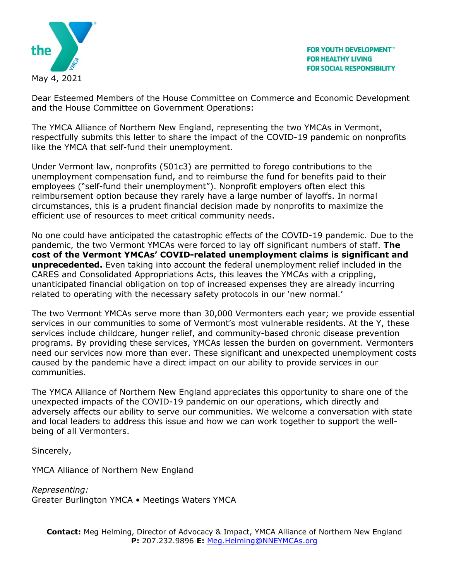

Dear Esteemed Members of the House Committee on Commerce and Economic Development and the House Committee on Government Operations:

The YMCA Alliance of Northern New England, representing the two YMCAs in Vermont, respectfully submits this letter to share the impact of the COVID-19 pandemic on nonprofits like the YMCA that self-fund their unemployment.

Under Vermont law, nonprofits (501c3) are permitted to forego contributions to the unemployment compensation fund, and to reimburse the fund for benefits paid to their employees ("self-fund their unemployment"). Nonprofit employers often elect this reimbursement option because they rarely have a large number of layoffs. In normal circumstances, this is a prudent financial decision made by nonprofits to maximize the efficient use of resources to meet critical community needs.

No one could have anticipated the catastrophic effects of the COVID-19 pandemic. Due to the pandemic, the two Vermont YMCAs were forced to lay off significant numbers of staff. **The cost of the Vermont YMCAs' COVID-related unemployment claims is significant and unprecedented.** Even taking into account the federal unemployment relief included in the CARES and Consolidated Appropriations Acts, this leaves the YMCAs with a crippling, unanticipated financial obligation on top of increased expenses they are already incurring related to operating with the necessary safety protocols in our 'new normal.'

The two Vermont YMCAs serve more than 30,000 Vermonters each year; we provide essential services in our communities to some of Vermont's most vulnerable residents. At the Y, these services include childcare, hunger relief, and community-based chronic disease prevention programs. By providing these services, YMCAs lessen the burden on government. Vermonters need our services now more than ever. These significant and unexpected unemployment costs caused by the pandemic have a direct impact on our ability to provide services in our communities.

The YMCA Alliance of Northern New England appreciates this opportunity to share one of the unexpected impacts of the COVID-19 pandemic on our operations, which directly and adversely affects our ability to serve our communities. We welcome a conversation with state and local leaders to address this issue and how we can work together to support the wellbeing of all Vermonters.

Sincerely,

YMCA Alliance of Northern New England

*Representing:*  Greater Burlington YMCA • Meetings Waters YMCA